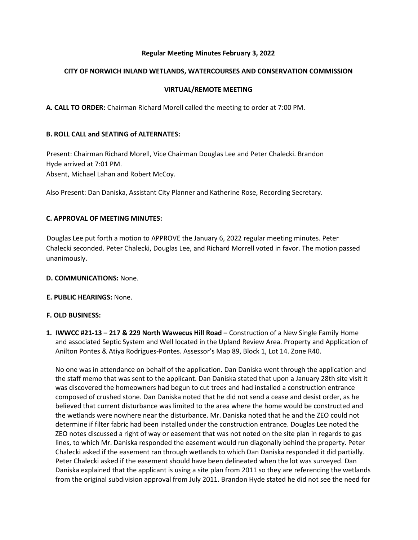### **Regular Meeting Minutes February 3, 2022**

### **CITY OF NORWICH INLAND WETLANDS, WATERCOURSES AND CONSERVATION COMMISSION**

# **VIRTUAL/REMOTE MEETING**

**A. CALL TO ORDER:** Chairman Richard Morell called the meeting to order at 7:00 PM.

### **B. ROLL CALL and SEATING of ALTERNATES:**

Present: Chairman Richard Morell, Vice Chairman Douglas Lee and Peter Chalecki. Brandon Hyde arrived at 7:01 PM. Absent, Michael Lahan and Robert McCoy.

Also Present: Dan Daniska, Assistant City Planner and Katherine Rose, Recording Secretary.

### **C. APPROVAL OF MEETING MINUTES:**

Douglas Lee put forth a motion to APPROVE the January 6, 2022 regular meeting minutes. Peter Chalecki seconded. Peter Chalecki, Douglas Lee, and Richard Morrell voted in favor. The motion passed unanimously.

#### **D. COMMUNICATIONS:** None.

#### **E. PUBLIC HEARINGS:** None.

#### **F. OLD BUSINESS:**

**1. IWWCC #21-13 – 217 & 229 North Wawecus Hill Road –** Construction of a New Single Family Home and associated Septic System and Well located in the Upland Review Area. Property and Application of Anilton Pontes & Atiya Rodrigues-Pontes. Assessor's Map 89, Block 1, Lot 14. Zone R40.

No one was in attendance on behalf of the application. Dan Daniska went through the application and the staff memo that was sent to the applicant. Dan Daniska stated that upon a January 28th site visit it was discovered the homeowners had begun to cut trees and had installed a construction entrance composed of crushed stone. Dan Daniska noted that he did not send a cease and desist order, as he believed that current disturbance was limited to the area where the home would be constructed and the wetlands were nowhere near the disturbance. Mr. Daniska noted that he and the ZEO could not determine if filter fabric had been installed under the construction entrance. Douglas Lee noted the ZEO notes discussed a right of way or easement that was not noted on the site plan in regards to gas lines, to which Mr. Daniska responded the easement would run diagonally behind the property. Peter Chalecki asked if the easement ran through wetlands to which Dan Daniska responded it did partially. Peter Chalecki asked if the easement should have been delineated when the lot was surveyed. Dan Daniska explained that the applicant is using a site plan from 2011 so they are referencing the wetlands from the original subdivision approval from July 2011. Brandon Hyde stated he did not see the need for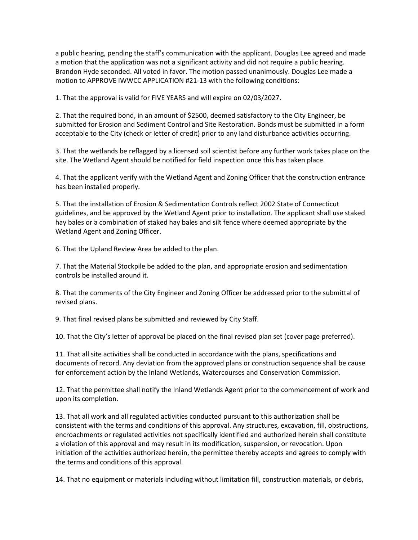a public hearing, pending the staff's communication with the applicant. Douglas Lee agreed and made a motion that the application was not a significant activity and did not require a public hearing. Brandon Hyde seconded. All voted in favor. The motion passed unanimously. Douglas Lee made a motion to APPROVE IWWCC APPLICATION #21-13 with the following conditions:

1. That the approval is valid for FIVE YEARS and will expire on 02/03/2027.

2. That the required bond, in an amount of \$2500, deemed satisfactory to the City Engineer, be submitted for Erosion and Sediment Control and Site Restoration. Bonds must be submitted in a form acceptable to the City (check or letter of credit) prior to any land disturbance activities occurring.

3. That the wetlands be reflagged by a licensed soil scientist before any further work takes place on the site. The Wetland Agent should be notified for field inspection once this has taken place.

4. That the applicant verify with the Wetland Agent and Zoning Officer that the construction entrance has been installed properly.

5. That the installation of Erosion & Sedimentation Controls reflect 2002 State of Connecticut guidelines, and be approved by the Wetland Agent prior to installation. The applicant shall use staked hay bales or a combination of staked hay bales and silt fence where deemed appropriate by the Wetland Agent and Zoning Officer.

6. That the Upland Review Area be added to the plan.

7. That the Material Stockpile be added to the plan, and appropriate erosion and sedimentation controls be installed around it.

8. That the comments of the City Engineer and Zoning Officer be addressed prior to the submittal of revised plans.

9. That final revised plans be submitted and reviewed by City Staff.

10. That the City's letter of approval be placed on the final revised plan set (cover page preferred).

11. That all site activities shall be conducted in accordance with the plans, specifications and documents of record. Any deviation from the approved plans or construction sequence shall be cause for enforcement action by the Inland Wetlands, Watercourses and Conservation Commission.

12. That the permittee shall notify the Inland Wetlands Agent prior to the commencement of work and upon its completion.

13. That all work and all regulated activities conducted pursuant to this authorization shall be consistent with the terms and conditions of this approval. Any structures, excavation, fill, obstructions, encroachments or regulated activities not specifically identified and authorized herein shall constitute a violation of this approval and may result in its modification, suspension, or revocation. Upon initiation of the activities authorized herein, the permittee thereby accepts and agrees to comply with the terms and conditions of this approval.

14. That no equipment or materials including without limitation fill, construction materials, or debris,